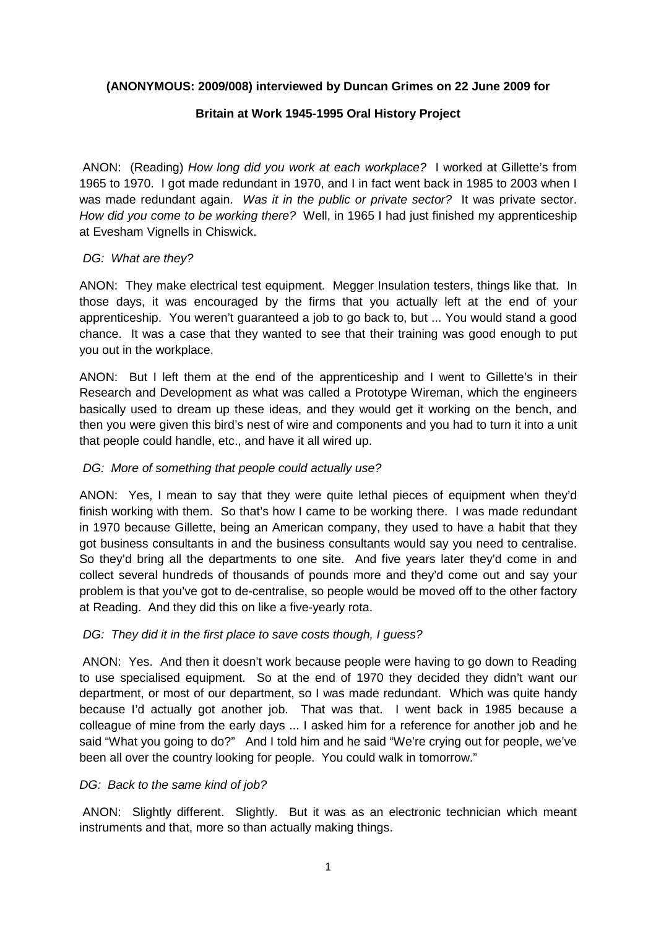### **(ANONYMOUS: 2009/008) interviewed by Duncan Grimes on 22 June 2009 for**

### **Britain at Work 1945-1995 Oral History Project**

 ANON: (Reading) How long did you work at each workplace? I worked at Gillette's from 1965 to 1970. I got made redundant in 1970, and I in fact went back in 1985 to 2003 when I was made redundant again. Was it in the public or private sector? It was private sector. How did you come to be working there? Well, in 1965 I had just finished my apprenticeship at Evesham Vignells in Chiswick.

### DG: What are they?

ANON: They make electrical test equipment. Megger Insulation testers, things like that. In those days, it was encouraged by the firms that you actually left at the end of your apprenticeship. You weren't guaranteed a job to go back to, but ... You would stand a good chance. It was a case that they wanted to see that their training was good enough to put you out in the workplace.

ANON: But I left them at the end of the apprenticeship and I went to Gillette's in their Research and Development as what was called a Prototype Wireman, which the engineers basically used to dream up these ideas, and they would get it working on the bench, and then you were given this bird's nest of wire and components and you had to turn it into a unit that people could handle, etc., and have it all wired up.

### DG: More of something that people could actually use?

ANON: Yes, I mean to say that they were quite lethal pieces of equipment when they'd finish working with them. So that's how I came to be working there. I was made redundant in 1970 because Gillette, being an American company, they used to have a habit that they got business consultants in and the business consultants would say you need to centralise. So they'd bring all the departments to one site. And five years later they'd come in and collect several hundreds of thousands of pounds more and they'd come out and say your problem is that you've got to de-centralise, so people would be moved off to the other factory at Reading. And they did this on like a five-yearly rota.

# DG: They did it in the first place to save costs though, I quess?

 ANON: Yes. And then it doesn't work because people were having to go down to Reading to use specialised equipment. So at the end of 1970 they decided they didn't want our department, or most of our department, so I was made redundant. Which was quite handy because I'd actually got another job. That was that. I went back in 1985 because a colleague of mine from the early days ... I asked him for a reference for another job and he said "What you going to do?" And I told him and he said "We're crying out for people, we've been all over the country looking for people. You could walk in tomorrow."

### DG: Back to the same kind of job?

 ANON: Slightly different. Slightly. But it was as an electronic technician which meant instruments and that, more so than actually making things.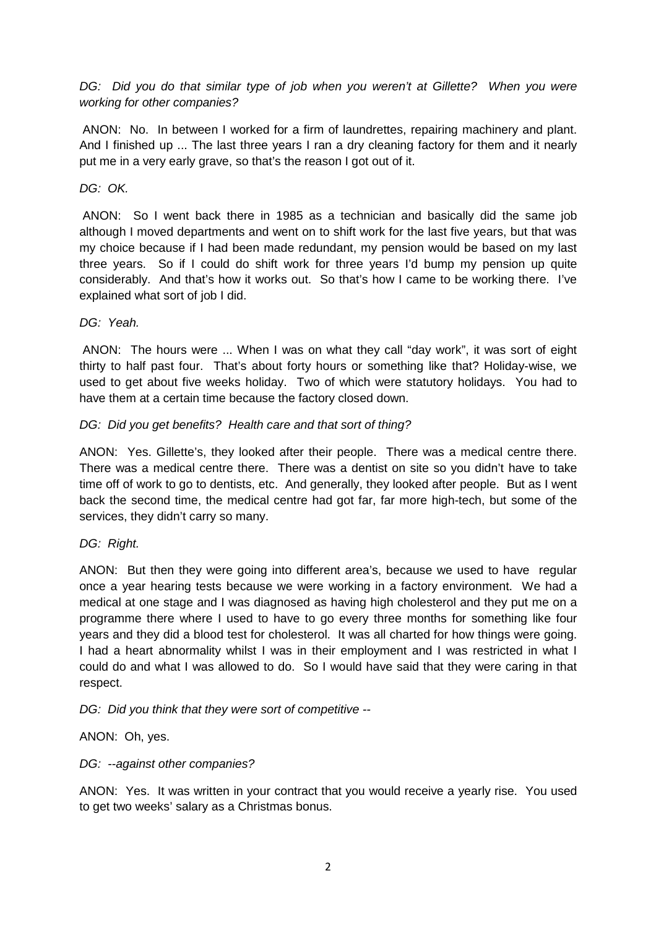DG: Did you do that similar type of job when you weren't at Gillette? When you were working for other companies?

 ANON: No. In between I worked for a firm of laundrettes, repairing machinery and plant. And I finished up ... The last three years I ran a dry cleaning factory for them and it nearly put me in a very early grave, so that's the reason I got out of it.

### DG: OK.

 ANON: So I went back there in 1985 as a technician and basically did the same job although I moved departments and went on to shift work for the last five years, but that was my choice because if I had been made redundant, my pension would be based on my last three years. So if I could do shift work for three years I'd bump my pension up quite considerably. And that's how it works out. So that's how I came to be working there. I've explained what sort of job I did.

### DG: Yeah.

 ANON: The hours were ... When I was on what they call "day work", it was sort of eight thirty to half past four. That's about forty hours or something like that? Holiday-wise, we used to get about five weeks holiday. Two of which were statutory holidays. You had to have them at a certain time because the factory closed down.

### DG: Did you get benefits? Health care and that sort of thing?

ANON: Yes. Gillette's, they looked after their people. There was a medical centre there. There was a medical centre there. There was a dentist on site so you didn't have to take time off of work to go to dentists, etc. And generally, they looked after people. But as I went back the second time, the medical centre had got far, far more high-tech, but some of the services, they didn't carry so many.

### DG: Right.

ANON: But then they were going into different area's, because we used to have regular once a year hearing tests because we were working in a factory environment. We had a medical at one stage and I was diagnosed as having high cholesterol and they put me on a programme there where I used to have to go every three months for something like four years and they did a blood test for cholesterol. It was all charted for how things were going. I had a heart abnormality whilst I was in their employment and I was restricted in what I could do and what I was allowed to do. So I would have said that they were caring in that respect.

DG: Did you think that they were sort of competitive --

ANON: Oh, yes.

### DG: --against other companies?

ANON: Yes. It was written in your contract that you would receive a yearly rise. You used to get two weeks' salary as a Christmas bonus.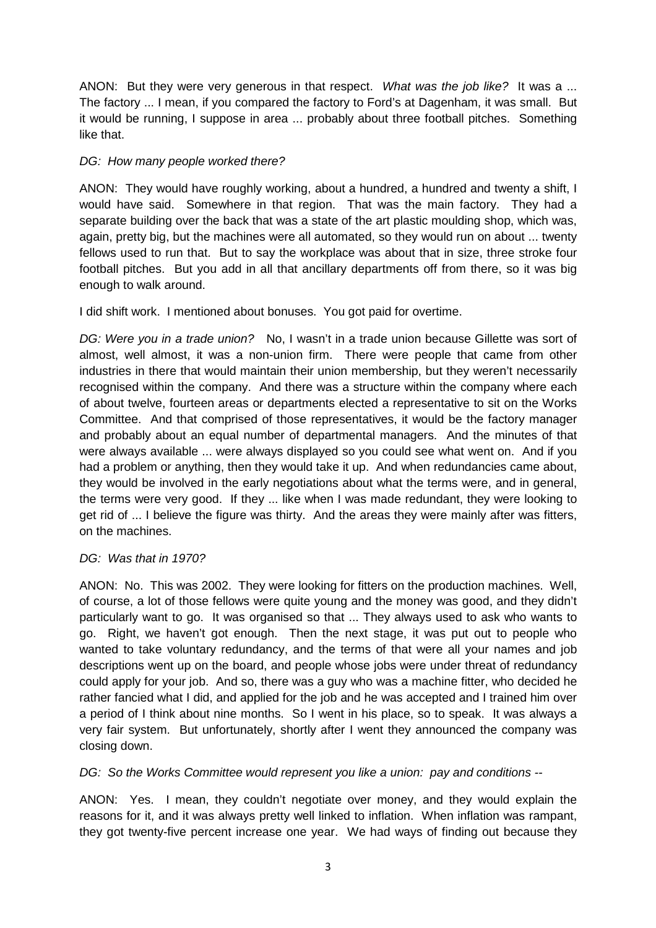ANON: But they were very generous in that respect. What was the job like? It was a ... The factory ... I mean, if you compared the factory to Ford's at Dagenham, it was small. But it would be running, I suppose in area ... probably about three football pitches. Something like that.

## DG: How many people worked there?

ANON: They would have roughly working, about a hundred, a hundred and twenty a shift, I would have said. Somewhere in that region. That was the main factory. They had a separate building over the back that was a state of the art plastic moulding shop, which was, again, pretty big, but the machines were all automated, so they would run on about ... twenty fellows used to run that. But to say the workplace was about that in size, three stroke four football pitches. But you add in all that ancillary departments off from there, so it was big enough to walk around.

I did shift work. I mentioned about bonuses. You got paid for overtime.

DG: Were you in a trade union? No, I wasn't in a trade union because Gillette was sort of almost, well almost, it was a non-union firm. There were people that came from other industries in there that would maintain their union membership, but they weren't necessarily recognised within the company. And there was a structure within the company where each of about twelve, fourteen areas or departments elected a representative to sit on the Works Committee. And that comprised of those representatives, it would be the factory manager and probably about an equal number of departmental managers. And the minutes of that were always available ... were always displayed so you could see what went on. And if you had a problem or anything, then they would take it up. And when redundancies came about, they would be involved in the early negotiations about what the terms were, and in general, the terms were very good. If they ... like when I was made redundant, they were looking to get rid of ... I believe the figure was thirty. And the areas they were mainly after was fitters, on the machines.

# DG: Was that in 1970?

ANON: No. This was 2002. They were looking for fitters on the production machines. Well, of course, a lot of those fellows were quite young and the money was good, and they didn't particularly want to go. It was organised so that ... They always used to ask who wants to go. Right, we haven't got enough. Then the next stage, it was put out to people who wanted to take voluntary redundancy, and the terms of that were all your names and job descriptions went up on the board, and people whose jobs were under threat of redundancy could apply for your job. And so, there was a guy who was a machine fitter, who decided he rather fancied what I did, and applied for the job and he was accepted and I trained him over a period of I think about nine months. So I went in his place, so to speak. It was always a very fair system. But unfortunately, shortly after I went they announced the company was closing down.

DG: So the Works Committee would represent you like a union: pay and conditions --

ANON: Yes. I mean, they couldn't negotiate over money, and they would explain the reasons for it, and it was always pretty well linked to inflation. When inflation was rampant, they got twenty-five percent increase one year. We had ways of finding out because they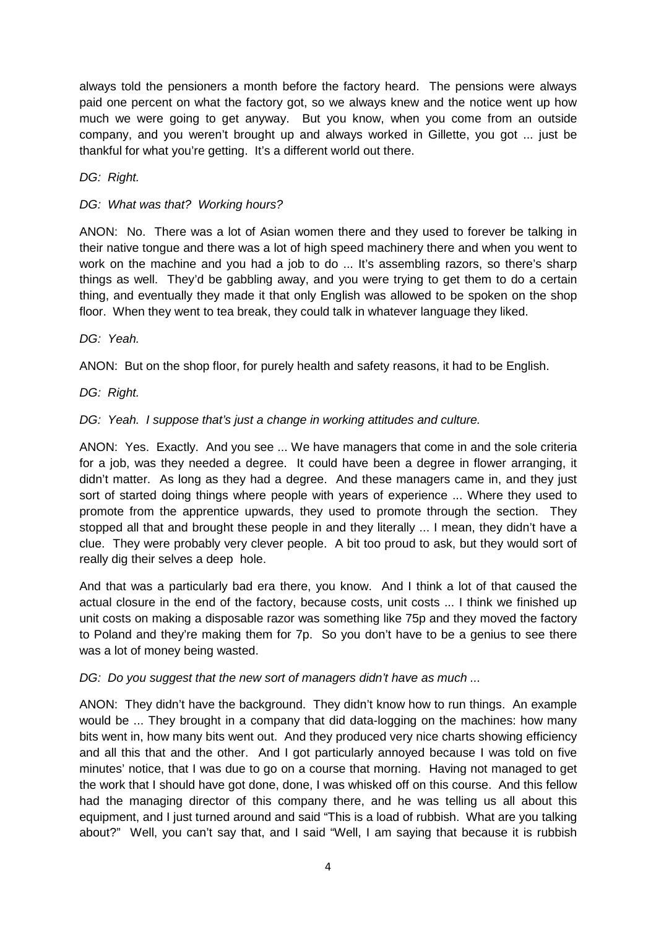always told the pensioners a month before the factory heard. The pensions were always paid one percent on what the factory got, so we always knew and the notice went up how much we were going to get anyway. But you know, when you come from an outside company, and you weren't brought up and always worked in Gillette, you got ... just be thankful for what you're getting. It's a different world out there.

DG: Right.

## DG: What was that? Working hours?

ANON: No. There was a lot of Asian women there and they used to forever be talking in their native tongue and there was a lot of high speed machinery there and when you went to work on the machine and you had a job to do ... It's assembling razors, so there's sharp things as well. They'd be gabbling away, and you were trying to get them to do a certain thing, and eventually they made it that only English was allowed to be spoken on the shop floor. When they went to tea break, they could talk in whatever language they liked.

DG: Yeah.

ANON: But on the shop floor, for purely health and safety reasons, it had to be English.

DG: Right.

# DG: Yeah. I suppose that's just a change in working attitudes and culture.

ANON: Yes. Exactly. And you see ... We have managers that come in and the sole criteria for a job, was they needed a degree. It could have been a degree in flower arranging, it didn't matter. As long as they had a degree. And these managers came in, and they just sort of started doing things where people with years of experience ... Where they used to promote from the apprentice upwards, they used to promote through the section. They stopped all that and brought these people in and they literally ... I mean, they didn't have a clue. They were probably very clever people. A bit too proud to ask, but they would sort of really dig their selves a deep hole.

And that was a particularly bad era there, you know. And I think a lot of that caused the actual closure in the end of the factory, because costs, unit costs ... I think we finished up unit costs on making a disposable razor was something like 75p and they moved the factory to Poland and they're making them for 7p. So you don't have to be a genius to see there was a lot of money being wasted.

### DG: Do you suggest that the new sort of managers didn't have as much ...

ANON: They didn't have the background. They didn't know how to run things. An example would be ... They brought in a company that did data-logging on the machines: how many bits went in, how many bits went out. And they produced very nice charts showing efficiency and all this that and the other. And I got particularly annoyed because I was told on five minutes' notice, that I was due to go on a course that morning. Having not managed to get the work that I should have got done, done, I was whisked off on this course. And this fellow had the managing director of this company there, and he was telling us all about this equipment, and I just turned around and said "This is a load of rubbish. What are you talking about?" Well, you can't say that, and I said "Well, I am saying that because it is rubbish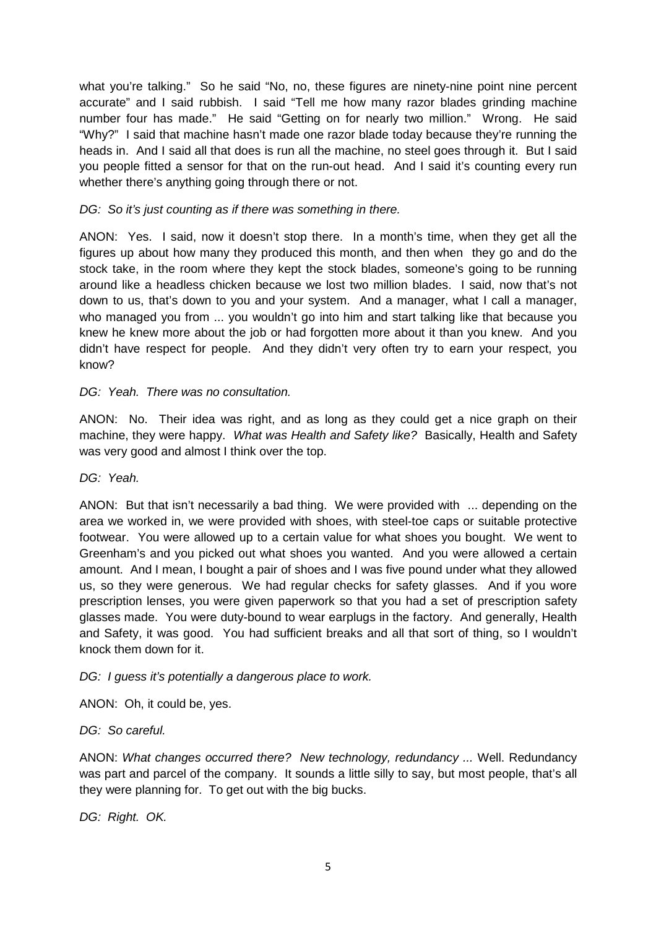what you're talking." So he said "No, no, these figures are ninety-nine point nine percent accurate" and I said rubbish. I said "Tell me how many razor blades grinding machine number four has made." He said "Getting on for nearly two million." Wrong. He said "Why?" I said that machine hasn't made one razor blade today because they're running the heads in. And I said all that does is run all the machine, no steel goes through it. But I said you people fitted a sensor for that on the run-out head. And I said it's counting every run whether there's anything going through there or not.

### DG: So it's just counting as if there was something in there.

ANON: Yes. I said, now it doesn't stop there. In a month's time, when they get all the figures up about how many they produced this month, and then when they go and do the stock take, in the room where they kept the stock blades, someone's going to be running around like a headless chicken because we lost two million blades. I said, now that's not down to us, that's down to you and your system. And a manager, what I call a manager, who managed you from ... you wouldn't go into him and start talking like that because you knew he knew more about the job or had forgotten more about it than you knew. And you didn't have respect for people. And they didn't very often try to earn your respect, you know?

### DG: Yeah. There was no consultation.

ANON: No. Their idea was right, and as long as they could get a nice graph on their machine, they were happy. What was Health and Safety like? Basically, Health and Safety was very good and almost I think over the top.

DG: Yeah.

ANON: But that isn't necessarily a bad thing. We were provided with ... depending on the area we worked in, we were provided with shoes, with steel-toe caps or suitable protective footwear. You were allowed up to a certain value for what shoes you bought. We went to Greenham's and you picked out what shoes you wanted. And you were allowed a certain amount. And I mean, I bought a pair of shoes and I was five pound under what they allowed us, so they were generous. We had regular checks for safety glasses. And if you wore prescription lenses, you were given paperwork so that you had a set of prescription safety glasses made. You were duty-bound to wear earplugs in the factory. And generally, Health and Safety, it was good. You had sufficient breaks and all that sort of thing, so I wouldn't knock them down for it.

### DG: I guess it's potentially a dangerous place to work.

ANON: Oh, it could be, yes.

### DG: So careful.

ANON: What changes occurred there? New technology, redundancy ... Well. Redundancy was part and parcel of the company. It sounds a little silly to say, but most people, that's all they were planning for. To get out with the big bucks.

DG: Right. OK.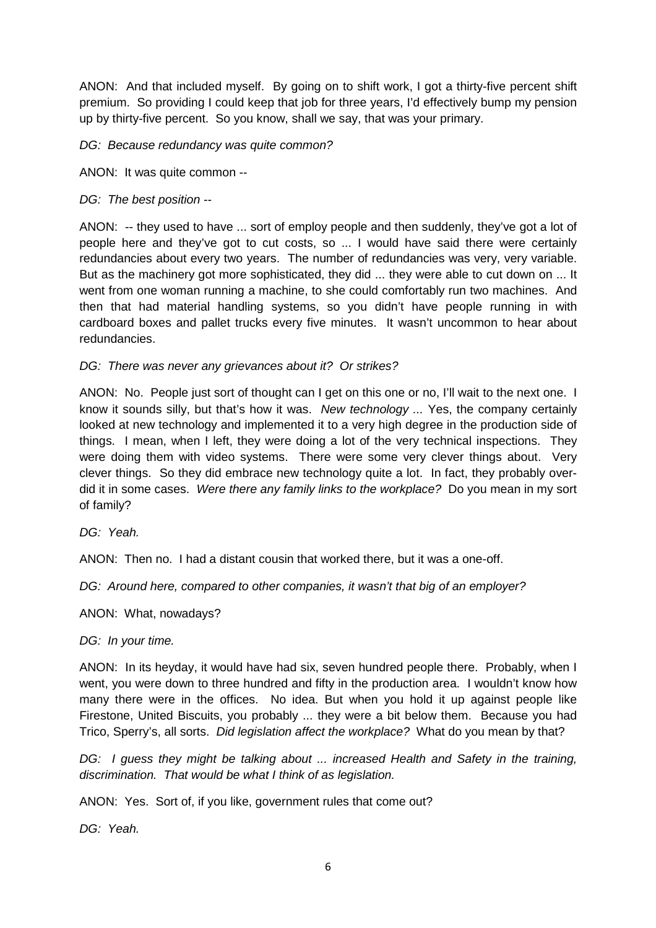ANON: And that included myself. By going on to shift work, I got a thirty-five percent shift premium. So providing I could keep that job for three years, I'd effectively bump my pension up by thirty-five percent. So you know, shall we say, that was your primary.

DG: Because redundancy was quite common?

ANON: It was quite common --

## DG: The best position --

ANON: -- they used to have ... sort of employ people and then suddenly, they've got a lot of people here and they've got to cut costs, so ... I would have said there were certainly redundancies about every two years. The number of redundancies was very, very variable. But as the machinery got more sophisticated, they did ... they were able to cut down on ... It went from one woman running a machine, to she could comfortably run two machines. And then that had material handling systems, so you didn't have people running in with cardboard boxes and pallet trucks every five minutes. It wasn't uncommon to hear about redundancies.

### DG: There was never any grievances about it? Or strikes?

ANON: No. People just sort of thought can I get on this one or no, I'll wait to the next one. I know it sounds silly, but that's how it was. New technology ... Yes, the company certainly looked at new technology and implemented it to a very high degree in the production side of things. I mean, when I left, they were doing a lot of the very technical inspections. They were doing them with video systems. There were some very clever things about. Very clever things. So they did embrace new technology quite a lot. In fact, they probably overdid it in some cases. Were there any family links to the workplace? Do you mean in my sort of family?

DG: Yeah.

ANON: Then no. I had a distant cousin that worked there, but it was a one-off.

DG: Around here, compared to other companies, it wasn't that big of an employer?

ANON: What, nowadays?

DG: In your time.

ANON: In its heyday, it would have had six, seven hundred people there. Probably, when I went, you were down to three hundred and fifty in the production area. I wouldn't know how many there were in the offices. No idea. But when you hold it up against people like Firestone, United Biscuits, you probably ... they were a bit below them. Because you had Trico, Sperry's, all sorts. Did legislation affect the workplace? What do you mean by that?

DG: I guess they might be talking about ... increased Health and Safety in the training, discrimination. That would be what I think of as legislation.

ANON: Yes. Sort of, if you like, government rules that come out?

DG: Yeah.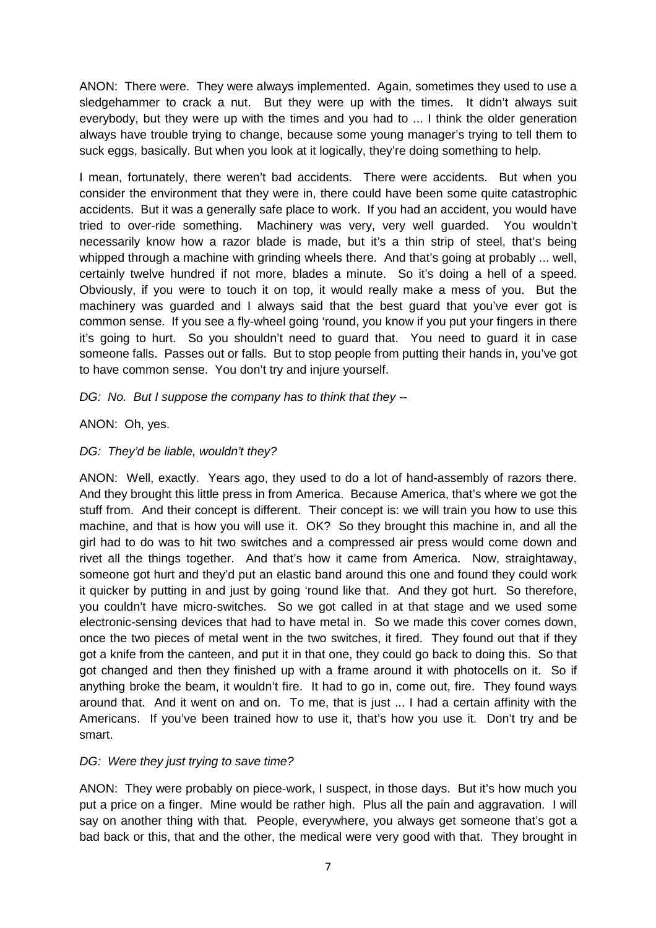ANON: There were. They were always implemented. Again, sometimes they used to use a sledgehammer to crack a nut. But they were up with the times. It didn't always suit everybody, but they were up with the times and you had to ... I think the older generation always have trouble trying to change, because some young manager's trying to tell them to suck eggs, basically. But when you look at it logically, they're doing something to help.

I mean, fortunately, there weren't bad accidents. There were accidents. But when you consider the environment that they were in, there could have been some quite catastrophic accidents. But it was a generally safe place to work. If you had an accident, you would have tried to over-ride something. Machinery was very, very well guarded. You wouldn't necessarily know how a razor blade is made, but it's a thin strip of steel, that's being whipped through a machine with grinding wheels there. And that's going at probably ... well, certainly twelve hundred if not more, blades a minute. So it's doing a hell of a speed. Obviously, if you were to touch it on top, it would really make a mess of you. But the machinery was guarded and I always said that the best guard that you've ever got is common sense. If you see a fly-wheel going 'round, you know if you put your fingers in there it's going to hurt. So you shouldn't need to guard that. You need to guard it in case someone falls. Passes out or falls. But to stop people from putting their hands in, you've got to have common sense. You don't try and injure yourself.

### DG: No. But I suppose the company has to think that they --

### ANON: Oh, yes.

### DG: They'd be liable, wouldn't they?

ANON: Well, exactly. Years ago, they used to do a lot of hand-assembly of razors there. And they brought this little press in from America. Because America, that's where we got the stuff from. And their concept is different. Their concept is: we will train you how to use this machine, and that is how you will use it. OK? So they brought this machine in, and all the girl had to do was to hit two switches and a compressed air press would come down and rivet all the things together. And that's how it came from America. Now, straightaway, someone got hurt and they'd put an elastic band around this one and found they could work it quicker by putting in and just by going 'round like that. And they got hurt. So therefore, you couldn't have micro-switches. So we got called in at that stage and we used some electronic-sensing devices that had to have metal in. So we made this cover comes down, once the two pieces of metal went in the two switches, it fired. They found out that if they got a knife from the canteen, and put it in that one, they could go back to doing this. So that got changed and then they finished up with a frame around it with photocells on it. So if anything broke the beam, it wouldn't fire. It had to go in, come out, fire. They found ways around that. And it went on and on. To me, that is just ... I had a certain affinity with the Americans. If you've been trained how to use it, that's how you use it. Don't try and be smart.

### DG: Were they just trying to save time?

ANON: They were probably on piece-work, I suspect, in those days. But it's how much you put a price on a finger. Mine would be rather high. Plus all the pain and aggravation. I will say on another thing with that. People, everywhere, you always get someone that's got a bad back or this, that and the other, the medical were very good with that. They brought in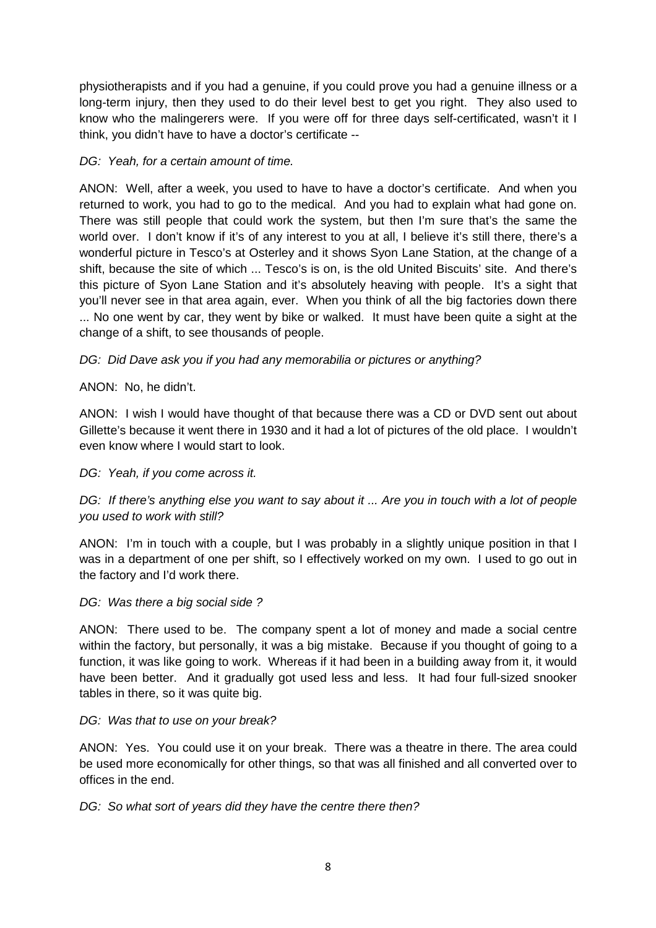physiotherapists and if you had a genuine, if you could prove you had a genuine illness or a long-term injury, then they used to do their level best to get you right. They also used to know who the malingerers were. If you were off for three days self-certificated, wasn't it I think, you didn't have to have a doctor's certificate --

## DG: Yeah, for a certain amount of time.

ANON: Well, after a week, you used to have to have a doctor's certificate. And when you returned to work, you had to go to the medical. And you had to explain what had gone on. There was still people that could work the system, but then I'm sure that's the same the world over. I don't know if it's of any interest to you at all, I believe it's still there, there's a wonderful picture in Tesco's at Osterley and it shows Syon Lane Station, at the change of a shift, because the site of which ... Tesco's is on, is the old United Biscuits' site. And there's this picture of Syon Lane Station and it's absolutely heaving with people. It's a sight that you'll never see in that area again, ever. When you think of all the big factories down there ... No one went by car, they went by bike or walked. It must have been quite a sight at the change of a shift, to see thousands of people.

# DG: Did Dave ask you if you had any memorabilia or pictures or anything?

### ANON: No, he didn't.

ANON: I wish I would have thought of that because there was a CD or DVD sent out about Gillette's because it went there in 1930 and it had a lot of pictures of the old place. I wouldn't even know where I would start to look.

### DG: Yeah, if you come across it.

# DG: If there's anything else you want to say about it ... Are you in touch with a lot of people you used to work with still?

ANON: I'm in touch with a couple, but I was probably in a slightly unique position in that I was in a department of one per shift, so I effectively worked on my own. I used to go out in the factory and I'd work there.

### DG: Was there a big social side?

ANON: There used to be. The company spent a lot of money and made a social centre within the factory, but personally, it was a big mistake. Because if you thought of going to a function, it was like going to work. Whereas if it had been in a building away from it, it would have been better. And it gradually got used less and less. It had four full-sized snooker tables in there, so it was quite big.

### DG: Was that to use on your break?

ANON: Yes. You could use it on your break. There was a theatre in there. The area could be used more economically for other things, so that was all finished and all converted over to offices in the end.

### DG: So what sort of years did they have the centre there then?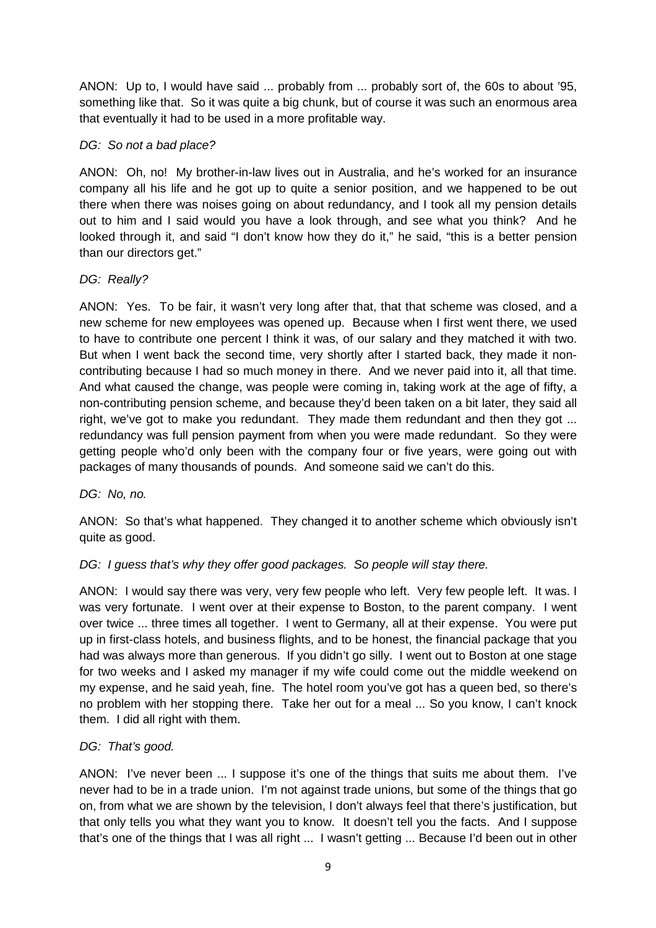ANON: Up to, I would have said ... probably from ... probably sort of, the 60s to about '95, something like that. So it was quite a big chunk, but of course it was such an enormous area that eventually it had to be used in a more profitable way.

### DG: So not a bad place?

ANON: Oh, no! My brother-in-law lives out in Australia, and he's worked for an insurance company all his life and he got up to quite a senior position, and we happened to be out there when there was noises going on about redundancy, and I took all my pension details out to him and I said would you have a look through, and see what you think? And he looked through it, and said "I don't know how they do it," he said, "this is a better pension than our directors get."

### DG: Really?

ANON: Yes. To be fair, it wasn't very long after that, that that scheme was closed, and a new scheme for new employees was opened up. Because when I first went there, we used to have to contribute one percent I think it was, of our salary and they matched it with two. But when I went back the second time, very shortly after I started back, they made it noncontributing because I had so much money in there. And we never paid into it, all that time. And what caused the change, was people were coming in, taking work at the age of fifty, a non-contributing pension scheme, and because they'd been taken on a bit later, they said all right, we've got to make you redundant. They made them redundant and then they got ... redundancy was full pension payment from when you were made redundant. So they were getting people who'd only been with the company four or five years, were going out with packages of many thousands of pounds. And someone said we can't do this.

### DG: No, no.

ANON: So that's what happened. They changed it to another scheme which obviously isn't quite as good.

# DG: I guess that's why they offer good packages. So people will stay there.

ANON: I would say there was very, very few people who left. Very few people left. It was. I was very fortunate. I went over at their expense to Boston, to the parent company. I went over twice ... three times all together. I went to Germany, all at their expense. You were put up in first-class hotels, and business flights, and to be honest, the financial package that you had was always more than generous. If you didn't go silly. I went out to Boston at one stage for two weeks and I asked my manager if my wife could come out the middle weekend on my expense, and he said yeah, fine. The hotel room you've got has a queen bed, so there's no problem with her stopping there. Take her out for a meal ... So you know, I can't knock them. I did all right with them.

### DG: That's good.

ANON: I've never been ... I suppose it's one of the things that suits me about them. I've never had to be in a trade union. I'm not against trade unions, but some of the things that go on, from what we are shown by the television, I don't always feel that there's justification, but that only tells you what they want you to know. It doesn't tell you the facts. And I suppose that's one of the things that I was all right ... I wasn't getting ... Because I'd been out in other